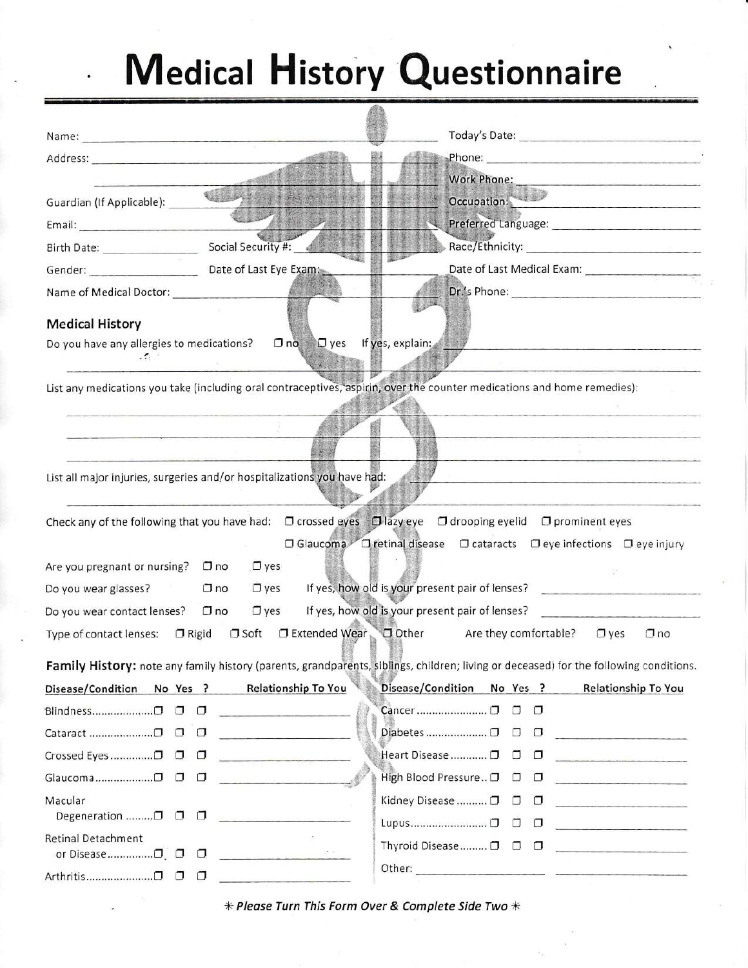## **Medical History Questionnaire**  $\overline{\bullet}$

| Address: Andreas Address: Address: Address: Address: Address: Address: Address: Address: Address: Address: Address: Address: Address: Address: Address: Address: Address: Address: Address: Address: Address: Address: Address |                                                                          |                                                                                                                                                                                                                                |  |  |  |  |  |
|--------------------------------------------------------------------------------------------------------------------------------------------------------------------------------------------------------------------------------|--------------------------------------------------------------------------|--------------------------------------------------------------------------------------------------------------------------------------------------------------------------------------------------------------------------------|--|--|--|--|--|
|                                                                                                                                                                                                                                |                                                                          | Work Phone:                                                                                                                                                                                                                    |  |  |  |  |  |
| Guardian (If Applicable):                                                                                                                                                                                                      | <b>C. 图片:</b>                                                            | Occupation:<br>the Roman and House Motors and                                                                                                                                                                                  |  |  |  |  |  |
|                                                                                                                                                                                                                                |                                                                          |                                                                                                                                                                                                                                |  |  |  |  |  |
| Birth Date: ________________                                                                                                                                                                                                   | Social Security #: 4                                                     | Race/Ethnicity: National Action of the Contract of the Contract of the Contract of the Contract of the Contract of the Contract of the Contract of the Contract of the Contract of the Contract of the Contract of the Contrac |  |  |  |  |  |
| Gender: Date of Last Eye Exam:                                                                                                                                                                                                 |                                                                          |                                                                                                                                                                                                                                |  |  |  |  |  |
|                                                                                                                                                                                                                                |                                                                          |                                                                                                                                                                                                                                |  |  |  |  |  |
| <b>Medical History</b>                                                                                                                                                                                                         |                                                                          |                                                                                                                                                                                                                                |  |  |  |  |  |
| Do you have any allergies to medications?<br>$\sim$ $\sim$                                                                                                                                                                     | $\square$ no $\square$ yes If yes, explain:                              |                                                                                                                                                                                                                                |  |  |  |  |  |
|                                                                                                                                                                                                                                |                                                                          |                                                                                                                                                                                                                                |  |  |  |  |  |
|                                                                                                                                                                                                                                |                                                                          | List any medications you take (including oral contraceptives, aspirin, over the counter medications and home remedies):                                                                                                        |  |  |  |  |  |
|                                                                                                                                                                                                                                |                                                                          |                                                                                                                                                                                                                                |  |  |  |  |  |
|                                                                                                                                                                                                                                |                                                                          |                                                                                                                                                                                                                                |  |  |  |  |  |
|                                                                                                                                                                                                                                |                                                                          |                                                                                                                                                                                                                                |  |  |  |  |  |
|                                                                                                                                                                                                                                | List all major injuries, surgeries and/or hospitalizations you have had: |                                                                                                                                                                                                                                |  |  |  |  |  |
|                                                                                                                                                                                                                                |                                                                          | Check any of the following that you have had: □ crossed eyes □ lazy eye □ drooping eyelid □ prominent eyes                                                                                                                     |  |  |  |  |  |
|                                                                                                                                                                                                                                |                                                                          | □ Glaucoma □ retinal disease □ cataracts □ eye infections □ eye injury                                                                                                                                                         |  |  |  |  |  |
| Are you pregnant or nursing?                                                                                                                                                                                                   | $\Box$ yes<br>$\square$ no                                               |                                                                                                                                                                                                                                |  |  |  |  |  |
| Do you wear glasses?                                                                                                                                                                                                           | $\square$ no<br>$\Box$ yes                                               | If yes, how old is your present pair of lenses?                                                                                                                                                                                |  |  |  |  |  |
| Do you wear contact lenses?                                                                                                                                                                                                    | $\square$ no<br>$\Box$ yes                                               | If yes, how old is your present pair of lenses?                                                                                                                                                                                |  |  |  |  |  |
|                                                                                                                                                                                                                                | Type of contact lenses: □ Rigid □ Soft □ Extended Wear □ Other           | Are they comfortable? $\Box$ yes<br>$\Box$ no                                                                                                                                                                                  |  |  |  |  |  |
| Family History: note any family history (parents, grandparents, siblings, children; living or deceased) for the following conditions.                                                                                          |                                                                          |                                                                                                                                                                                                                                |  |  |  |  |  |
| Disease/Condition No Yes ? Relationship To You                                                                                                                                                                                 |                                                                          | Disease/Condition No Yes ?<br>Relationship To You                                                                                                                                                                              |  |  |  |  |  |
| Blindness□ □ □                                                                                                                                                                                                                 |                                                                          |                                                                                                                                                                                                                                |  |  |  |  |  |
| Cataract □ □ □                                                                                                                                                                                                                 |                                                                          |                                                                                                                                                                                                                                |  |  |  |  |  |
|                                                                                                                                                                                                                                |                                                                          | Heart Disease  ロ ロ ロ                                                                                                                                                                                                           |  |  |  |  |  |
| Glaucoma□ □ □                                                                                                                                                                                                                  |                                                                          | High Blood Pressure  □ □ □ <u></u>                                                                                                                                                                                             |  |  |  |  |  |
| Macular                                                                                                                                                                                                                        |                                                                          | Kidney Disease  □ □ □                                                                                                                                                                                                          |  |  |  |  |  |
| Degeneration □ □ □                                                                                                                                                                                                             |                                                                          |                                                                                                                                                                                                                                |  |  |  |  |  |
| Retinal Detachment                                                                                                                                                                                                             |                                                                          | Thyroid Disease $\Box$ $\Box$                                                                                                                                                                                                  |  |  |  |  |  |
|                                                                                                                                                                                                                                |                                                                          |                                                                                                                                                                                                                                |  |  |  |  |  |
|                                                                                                                                                                                                                                |                                                                          |                                                                                                                                                                                                                                |  |  |  |  |  |

\* Please Turn This Form Over & Complete Side Two \*